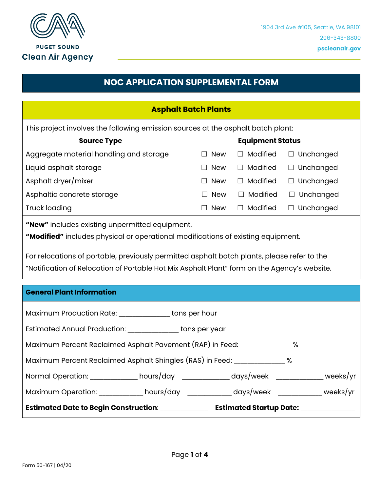

## **NOC APPLICATION SUPPLEMENTAL FORM**

| <b>Asphalt Batch Plants</b>                                                                                                                                                                                                                                                                                                       |                         |                 |                  |  |  |
|-----------------------------------------------------------------------------------------------------------------------------------------------------------------------------------------------------------------------------------------------------------------------------------------------------------------------------------|-------------------------|-----------------|------------------|--|--|
| This project involves the following emission sources at the asphalt batch plant:                                                                                                                                                                                                                                                  |                         |                 |                  |  |  |
| <b>Source Type</b>                                                                                                                                                                                                                                                                                                                | <b>Equipment Status</b> |                 |                  |  |  |
| Aggregate material handling and storage                                                                                                                                                                                                                                                                                           | $\Box$ New              | $\Box$ Modified | $\Box$ Unchanged |  |  |
| Liquid asphalt storage                                                                                                                                                                                                                                                                                                            | $\square$ New           | $\Box$ Modified | $\Box$ Unchanged |  |  |
| Asphalt dryer/mixer                                                                                                                                                                                                                                                                                                               | $\Box$ New              | $\Box$ Modified | $\Box$ Unchanged |  |  |
| Asphaltic concrete storage                                                                                                                                                                                                                                                                                                        | $\Box$ New              | $\Box$ Modified | $\Box$ Unchanged |  |  |
| <b>Truck loading</b>                                                                                                                                                                                                                                                                                                              | $\Box$ New              | $\Box$ Modified | $\Box$ Unchanged |  |  |
| "New" includes existing unpermitted equipment.<br>"Modified" includes physical or operational modifications of existing equipment.<br>For relocations of portable, previously permitted asphalt batch plants, please refer to the<br>"Notification of Relocation of Portable Hot Mix Asphalt Plant" form on the Agency's website. |                         |                 |                  |  |  |
| <b>General Plant Information</b>                                                                                                                                                                                                                                                                                                  |                         |                 |                  |  |  |
| Maximum Production Rate: _______________ tons per hour                                                                                                                                                                                                                                                                            |                         |                 |                  |  |  |
| Estimated Annual Production: ________________ tons per year                                                                                                                                                                                                                                                                       |                         |                 |                  |  |  |
| Maximum Percent Reclaimed Asphalt Pavement (RAP) in Feed: ______________ %                                                                                                                                                                                                                                                        |                         |                 |                  |  |  |
| Maximum Percent Reclaimed Asphalt Shingles (RAS) in Feed: ______________ %                                                                                                                                                                                                                                                        |                         |                 |                  |  |  |
| Normal Operation: ____________ hours/day ____________ days/week ___________ weeks/yr                                                                                                                                                                                                                                              |                         |                 |                  |  |  |
| Maximum Operation: ___________ hours/day ___________ days/week __________ weeks/yr                                                                                                                                                                                                                                                |                         |                 |                  |  |  |
|                                                                                                                                                                                                                                                                                                                                   |                         |                 |                  |  |  |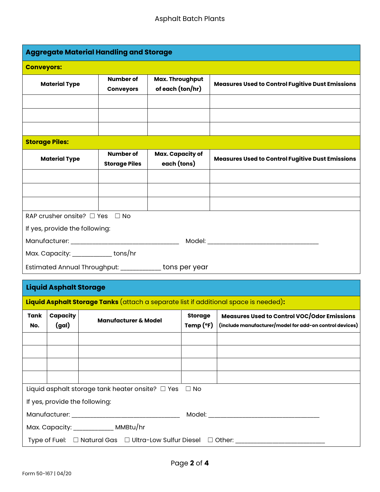| <b>Aggregate Material Handling and Storage</b>                                                                                                                                                                                      |                                |  |                                          |                                     |                               |                                                                                                               |
|-------------------------------------------------------------------------------------------------------------------------------------------------------------------------------------------------------------------------------------|--------------------------------|--|------------------------------------------|-------------------------------------|-------------------------------|---------------------------------------------------------------------------------------------------------------|
|                                                                                                                                                                                                                                     | <b>Conveyors:</b>              |  |                                          |                                     |                               |                                                                                                               |
|                                                                                                                                                                                                                                     | <b>Material Type</b>           |  | Number of<br><b>Conveyors</b>            | Max. Throughput<br>of each (ton/hr) |                               | <b>Measures Used to Control Fugitive Dust Emissions</b>                                                       |
|                                                                                                                                                                                                                                     |                                |  |                                          |                                     |                               |                                                                                                               |
|                                                                                                                                                                                                                                     |                                |  |                                          |                                     |                               |                                                                                                               |
|                                                                                                                                                                                                                                     |                                |  |                                          |                                     |                               |                                                                                                               |
|                                                                                                                                                                                                                                     | <b>Storage Piles:</b>          |  |                                          |                                     |                               |                                                                                                               |
|                                                                                                                                                                                                                                     | <b>Material Type</b>           |  | <b>Number of</b><br><b>Storage Piles</b> | Max. Capacity of<br>each (tons)     |                               | <b>Measures Used to Control Fugitive Dust Emissions</b>                                                       |
|                                                                                                                                                                                                                                     |                                |  |                                          |                                     |                               |                                                                                                               |
|                                                                                                                                                                                                                                     |                                |  |                                          |                                     |                               |                                                                                                               |
|                                                                                                                                                                                                                                     |                                |  |                                          |                                     |                               |                                                                                                               |
|                                                                                                                                                                                                                                     | RAP crusher onsite? □ Yes □ No |  |                                          |                                     |                               |                                                                                                               |
| If yes, provide the following:                                                                                                                                                                                                      |                                |  |                                          |                                     |                               |                                                                                                               |
| Model: <b>Model</b> Service and Service and Service and Service and Service and Service and Service and Service and Service and Service and Service and Service and Service and Service and Service and Service and Service and Ser |                                |  |                                          |                                     |                               |                                                                                                               |
| Max. Capacity: ______________ tons/hr                                                                                                                                                                                               |                                |  |                                          |                                     |                               |                                                                                                               |
| Estimated Annual Throughput: ____________ tons per year                                                                                                                                                                             |                                |  |                                          |                                     |                               |                                                                                                               |
|                                                                                                                                                                                                                                     |                                |  |                                          |                                     |                               |                                                                                                               |
| <b>Liquid Asphalt Storage</b>                                                                                                                                                                                                       |                                |  |                                          |                                     |                               |                                                                                                               |
| Liquid Asphalt Storage Tanks (attach a separate list if additional space is needed):                                                                                                                                                |                                |  |                                          |                                     |                               |                                                                                                               |
| Tank<br>No.                                                                                                                                                                                                                         | Capacity<br>(gal)              |  | <b>Manufacturer &amp; Model</b>          |                                     | <b>Storage</b><br>Temp $(°F)$ | <b>Measures Used to Control VOC/Odor Emissions</b><br>(include manufacturer/model for add-on control devices) |

| Liquid asphalt storage tank heater onsite? $\Box$ Yes $\Box$ No                                                 |  |  |  |  |
|-----------------------------------------------------------------------------------------------------------------|--|--|--|--|
| If yes, provide the following:                                                                                  |  |  |  |  |
| Manufacturer: with a state of the state of the state of the state of the state of the state of the state of the |  |  |  |  |
| Max. Capacity: _____________ MMBtu/hr                                                                           |  |  |  |  |
| Type of Fuel: □ Natural Gas □ Ultra-Low Sulfur Diesel □ Other: _________                                        |  |  |  |  |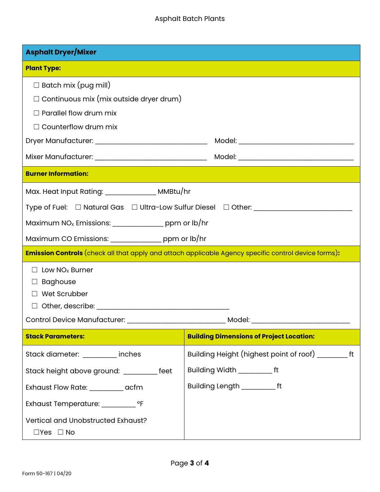### Asphalt Batch Plants

| <b>Asphalt Dryer/Mixer</b>                                                                           |                                                       |  |  |  |
|------------------------------------------------------------------------------------------------------|-------------------------------------------------------|--|--|--|
| <b>Plant Type:</b>                                                                                   |                                                       |  |  |  |
| $\Box$ Batch mix (pug mill)                                                                          |                                                       |  |  |  |
| $\Box$ Continuous mix (mix outside dryer drum)                                                       |                                                       |  |  |  |
| $\Box$ Parallel flow drum mix                                                                        |                                                       |  |  |  |
| $\Box$ Counterflow drum mix                                                                          |                                                       |  |  |  |
|                                                                                                      |                                                       |  |  |  |
|                                                                                                      |                                                       |  |  |  |
| <b>Burner Information:</b>                                                                           |                                                       |  |  |  |
| Max. Heat Input Rating: _______________ MMBtu/hr                                                     |                                                       |  |  |  |
| Type of Fuel: □ Natural Gas □ Ultra-Low Sulfur Diesel □ Other: _________________                     |                                                       |  |  |  |
| Maximum $NO_x$ Emissions: ________________ ppm or $Ib/hr$                                            |                                                       |  |  |  |
| Maximum CO Emissions: ________________ ppm or lb/hr                                                  |                                                       |  |  |  |
| Emission Controls (check all that apply and attach applicable Agency specific control device forms): |                                                       |  |  |  |
| $\Box$ Low NO <sub>x</sub> Burner                                                                    |                                                       |  |  |  |
| <b>Baghouse</b><br>$\Box$                                                                            |                                                       |  |  |  |
| $\Box$ Wet Scrubber                                                                                  |                                                       |  |  |  |
|                                                                                                      |                                                       |  |  |  |
| Control Device Manufacturer:                                                                         |                                                       |  |  |  |
| <b>Stack Parameters:</b>                                                                             | <b>Building Dimensions of Project Location:</b>       |  |  |  |
| Stack diameter: ________ inches                                                                      | Building Height (highest point of roof) __________ ft |  |  |  |
| Stack height above ground: _________ feet                                                            | Building Width _________ft                            |  |  |  |
| Exhaust Flow Rate: __________ acfm                                                                   | Building Length __________ft                          |  |  |  |
| Exhaust Temperature: __________ °F                                                                   |                                                       |  |  |  |
| Vertical and Unobstructed Exhaust?                                                                   |                                                       |  |  |  |
| $\Box Y$ es $\Box$ No                                                                                |                                                       |  |  |  |